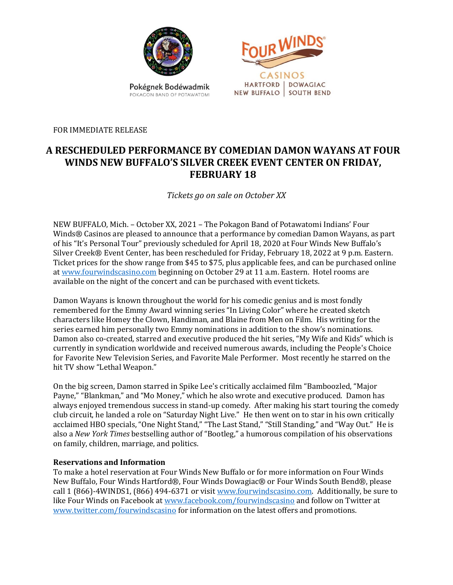

POKACON BAND OF POTAWATOMI

CASINOS HARTFORD | DOWAGIAC NEW BUFFALO | SOUTH BEND

FOR IMMEDIATE RELEASE

# **A RESCHEDULED PERFORMANCE BY COMEDIAN DAMON WAYANS AT FOUR WINDS NEW BUFFALO'S SILVER CREEK EVENT CENTER ON FRIDAY, FEBRUARY 18**

*Tickets go on sale on October XX*

NEW BUFFALO, Mich. – October XX, 2021 – The Pokagon Band of Potawatomi Indians' Four Winds® Casinos are pleased to announce that a performance by comedian Damon Wayans, as part of his "It's Personal Tour" previously scheduled for April 18, 2020 at Four Winds New Buffalo's Silver Creek® Event Center, has been rescheduled for Friday, February 18, 2022 at 9 p.m. Eastern. Ticket prices for the show range from \$45 to \$75, plus applicable fees, and can be purchased online a[t www.fourwindscasino.com](https://www.fourwindscasino.com/newbuffalo/entertainment/event-center) beginning on October 29 at 11 a.m. Eastern. Hotel rooms are available on the night of the concert and can be purchased with event tickets.

Damon Wayans is known throughout the world for his comedic genius and is most fondly remembered for the Emmy Award winning series "In Living Color" where he created sketch characters like Homey the Clown, Handiman, and Blaine from Men on Film. His writing for the series earned him personally two Emmy nominations in addition to the show's nominations. Damon also co-created, starred and executive produced the hit series, "My Wife and Kids" which is currently in syndication worldwide and received numerous awards, including the People's Choice for Favorite New Television Series, and Favorite Male Performer. Most recently he starred on the hit TV show "Lethal Weapon."

On the big screen, Damon starred in Spike Lee's critically acclaimed film "Bamboozled, "Major Payne," "Blankman," and "Mo Money," which he also wrote and executive produced. Damon has always enjoyed tremendous success in stand-up comedy. After making his start touring the comedy club circuit, he landed a role on "Saturday Night Live." He then went on to star in his own critically acclaimed HBO specials, "One Night Stand," "The Last Stand," "Still Standing," and "Way Out." He is also a *New York Times* bestselling author of "Bootleg," a humorous compilation of his observations on family, children, marriage, and politics.

## **Reservations and Information**

To make a hotel reservation at Four Winds New Buffalo or for more information on Four Winds New Buffalo, Four Winds Hartford®, Four Winds Dowagiac® or Four Winds South Bend®, please call 1 (866)-4WINDS1, (866) 494-6371 or visi[t www.fourwindscasino.com.](http://www.fourwindscasino.com/) Additionally, be sure to like Four Winds on Facebook at [www.facebook.com/fourwindscasino](http://www.facebook.com/fourwindscasino) and follow on Twitter at [www.twitter.com/fourwindscasino](http://www.twitter.com/fourwindscasino) for information on the latest offers and promotions.